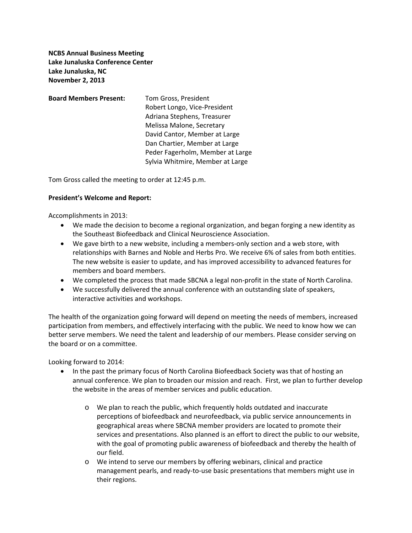**NCBS Annual Business Meeting Lake Junaluska Conference Center Lake Junaluska, NC November 2, 2013**

**Board Members Present:** Tom Gross, President Robert Longo, Vice‐President Adriana Stephens, Treasurer Melissa Malone, Secretary David Cantor, Member at Large Dan Chartier, Member at Large Peder Fagerholm, Member at Large Sylvia Whitmire, Member at Large

Tom Gross called the meeting to order at 12:45 p.m.

## **President's Welcome and Report:**

Accomplishments in 2013:

- We made the decision to become a regional organization, and began forging a new identity as the Southeast Biofeedback and Clinical Neuroscience Association.
- We gave birth to a new website, including a members-only section and a web store, with relationships with Barnes and Noble and Herbs Pro. We receive 6% of sales from both entities. The new website is easier to update, and has improved accessibility to advanced features for members and board members.
- We completed the process that made SBCNA a legal non-profit in the state of North Carolina.
- We successfully delivered the annual conference with an outstanding slate of speakers, interactive activities and workshops.

The health of the organization going forward will depend on meeting the needs of members, increased participation from members, and effectively interfacing with the public. We need to know how we can better serve members. We need the talent and leadership of our members. Please consider serving on the board or on a committee.

Looking forward to 2014:

- In the past the primary focus of North Carolina Biofeedback Society was that of hosting an annual conference. We plan to broaden our mission and reach. First, we plan to further develop the website in the areas of member services and public education.
	- o We plan to reach the public, which frequently holds outdated and inaccurate perceptions of biofeedback and neurofeedback, via public service announcements in geographical areas where SBCNA member providers are located to promote their services and presentations. Also planned is an effort to direct the public to our website, with the goal of promoting public awareness of biofeedback and thereby the health of our field.
	- o We intend to serve our members by offering webinars, clinical and practice management pearls, and ready‐to‐use basic presentations that members might use in their regions.